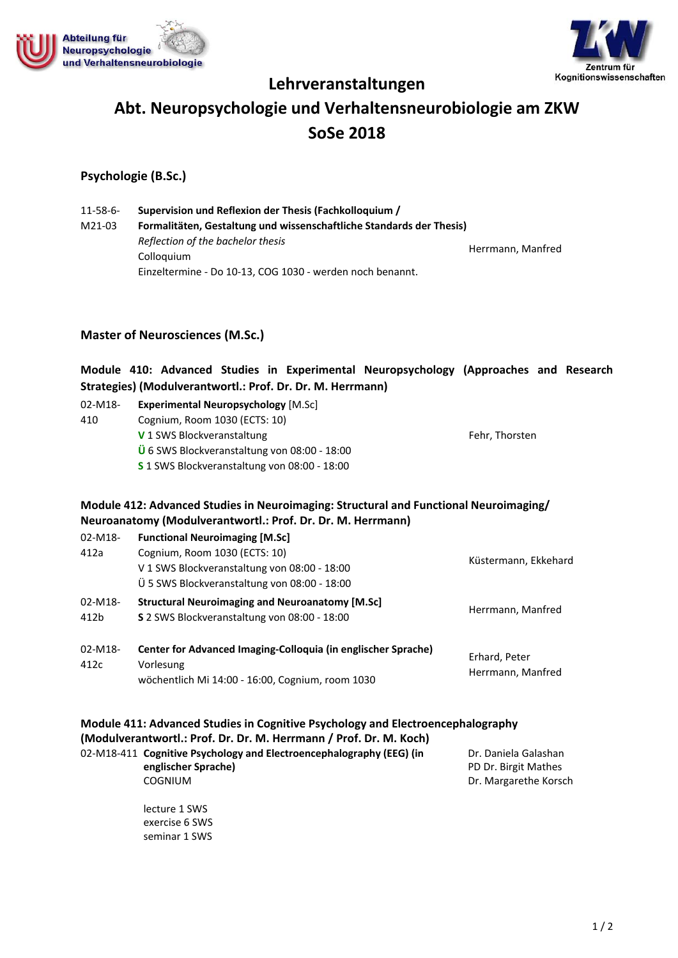



# **Lehrveranstaltungen Abt. Neuropsychologie und Verhaltensneurobiologie am ZKW SoSe 2018**

# **Psychologie (B.Sc.)**

11‐58‐6‐ M21‐03 **Supervision und Reflexion der Thesis (Fachkolloquium / Formalitäten, Gestaltung und wissenschaftliche Standards der Thesis)** *Reflection of the bachelor thesis* Colloquium Einzeltermine ‐ Do 10‐13, COG 1030 ‐ werden noch benannt. Herrmann, Manfred

## **Master of Neurosciences (M.Sc.)**

# **Module 410: Advanced Studies in Experimental Neuropsychology (Approaches and Research Strategies) (Modulverantwortl.: Prof. Dr. Dr. M. Herrmann)**

| 02-M18- | <b>Experimental Neuropsychology</b> [M.Sc]                   |                |
|---------|--------------------------------------------------------------|----------------|
| 410     | Cognium, Room 1030 (ECTS: 10)                                |                |
|         | V 1 SWS Blockveranstaltung                                   | Fehr, Thorsten |
|         | $\ddot{\text{U}}$ 6 SWS Blockveranstaltung von 08:00 - 18:00 |                |
|         | S 1 SWS Blockveranstaltung von 08:00 - 18:00                 |                |

## **Module 412: Advanced Studies in Neuroimaging: Structural and Functional Neuroimaging/ Neuroanatomy (Modulverantwortl.: Prof. Dr. Dr. M. Herrmann)**

| $02 - M18 -$<br>412a | <b>Functional Neuroimaging [M.Sc]</b><br>Cognium, Room 1030 (ECTS: 10)<br>V 1 SWS Blockveranstaltung von 08:00 - 18:00<br>Ü 5 SWS Blockveranstaltung von 08:00 - 18:00 | Küstermann, Ekkehard               |
|----------------------|------------------------------------------------------------------------------------------------------------------------------------------------------------------------|------------------------------------|
| 02-M18-<br>412b      | <b>Structural Neuroimaging and Neuroanatomy [M.Sc]</b><br>S 2 SWS Blockveranstaltung von 08:00 - 18:00                                                                 | Herrmann, Manfred                  |
| $02 - M18 -$<br>412c | Center for Advanced Imaging-Colloquia (in englischer Sprache)<br>Vorlesung<br>wöchentlich Mi 14:00 - 16:00, Cognium, room 1030                                         | Erhard, Peter<br>Herrmann, Manfred |

| Module 411: Advanced Studies in Cognitive Psychology and Electroencephalography<br>(Modulverantwortl.: Prof. Dr. Dr. M. Herrmann / Prof. Dr. M. Koch) |                     |                       |  |  |
|-------------------------------------------------------------------------------------------------------------------------------------------------------|---------------------|-----------------------|--|--|
|                                                                                                                                                       |                     |                       |  |  |
|                                                                                                                                                       | englischer Sprache) | PD Dr. Birgit Mathes  |  |  |
|                                                                                                                                                       | COGNIUM             | Dr. Margarethe Korsch |  |  |

lecture 1 SWS exercise 6 SWS seminar 1 SWS